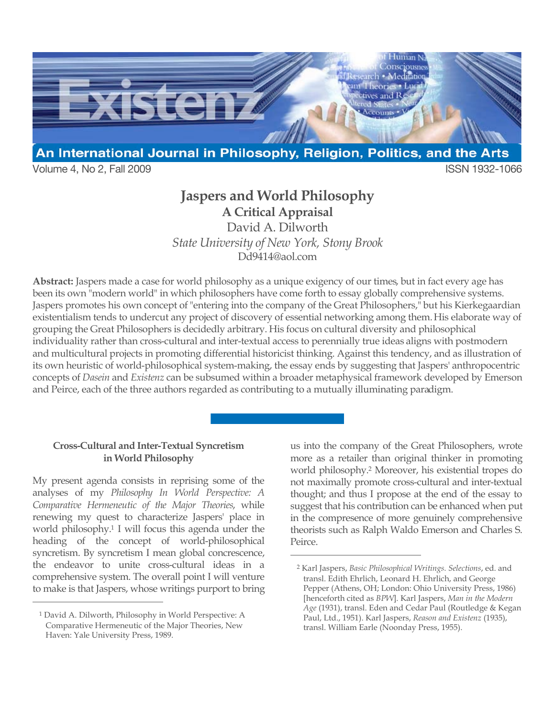

Volume 4, No 2, Fall 2009 **ISSN 1932-1066** 

## **Jaspers and World Philosophy A Critical Appraisal**

David A. Dilworth *State University of New York, Stony Brook* Dd9414@aol.com

**Abstract:** Jaspers made a case for world philosophy as a unique exigency of our times, but in fact every age has been its own "modern world" in which philosophers have come forth to essay globally comprehensive systems. Jaspers promotes his own concept of "entering into the company of the Great Philosophers," but his Kierkegaardian existentialism tends to undercut any project of discovery of essential networking among them.His elaborate way of grouping the Great Philosophers is decidedly arbitrary. His focus on cultural diversity and philosophical individuality rather than cross-cultural and inter-textual access to perennially true ideas aligns with postmodern and multicultural projects in promoting differential historicist thinking. Against this tendency, and as illustration of its own heuristic of world-philosophical system-making, the essay ends by suggesting that Jaspers' anthropocentric concepts of *Dasein* and *Existenz* can be subsumed within a broader metaphysical framework developed by Emerson and Peirce, each of the three authors regarded as contributing to a mutually illuminating paradigm.

 $\overline{a}$ 

## **Cross-Cultural and Inter-Textual Syncretism in World Philosophy**

My present agenda consists in reprising some of the analyses of my *Philosophy In World Perspective: A Comparative Hermeneutic of the Major Theories*, while renewing my quest to characterize Jaspers' place in world philosophy.1 I will focus this agenda under the heading of the concept of world-philosophical syncretism. By syncretism I mean global concrescence, the endeavor to unite cross-cultural ideas in a comprehensive system. The overall point I will venture to make is that Jaspers, whose writings purport to bring

 $\overline{a}$ 

us into the company of the Great Philosophers, wrote more as a retailer than original thinker in promoting world philosophy.2 Moreover, his existential tropes do not maximally promote cross-cultural and inter-textual thought; and thus I propose at the end of the essay to suggest that his contribution can be enhanced when put in the compresence of more genuinely comprehensive theorists such as Ralph Waldo Emerson and Charles S. Peirce.

<sup>1</sup> David A. Dilworth, Philosophy in World Perspective: A Comparative Hermeneutic of the Major Theories, New Haven: Yale University Press, 1989.

<sup>2</sup> Karl Jaspers, *Basic Philosophical Writings. Selections*, ed. and transl. Edith Ehrlich, Leonard H. Ehrlich, and George Pepper (Athens, OH; London: Ohio University Press, 1986) [henceforth cited as *BPW*]. Karl Jaspers, *Man in the Modern Age* (1931), transl. Eden and Cedar Paul (Routledge & Kegan Paul, Ltd., 1951). Karl Jaspers, *Reason and Existenz* (1935), transl. William Earle (Noonday Press, 1955).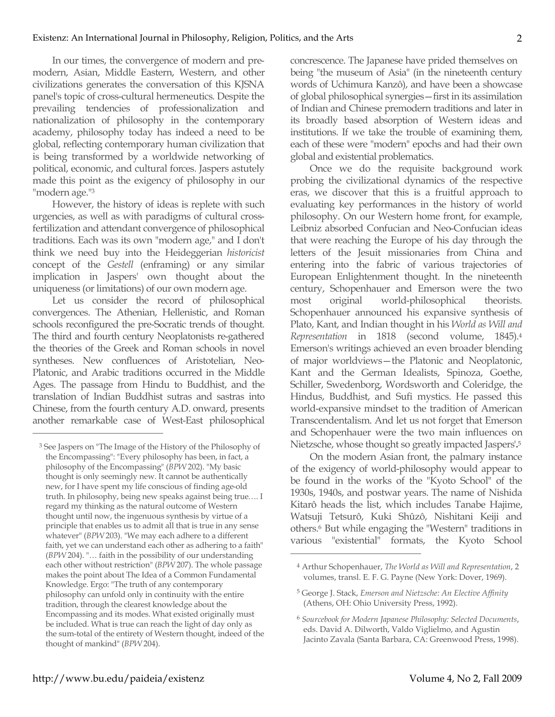In our times, the convergence of modern and premodern, Asian, Middle Eastern, Western, and other civilizations generates the conversation of this KJSNA panel's topic of cross-cultural hermeneutics. Despite the prevailing tendencies of professionalization and nationalization of philosophy in the contemporary academy, philosophy today has indeed a need to be global, reflecting contemporary human civilization that is being transformed by a worldwide networking of political, economic, and cultural forces. Jaspers astutely made this point as the exigency of philosophy in our "modern age."3

However, the history of ideas is replete with such urgencies, as well as with paradigms of cultural crossfertilization and attendant convergence of philosophical traditions. Each was its own "modern age," and I don't think we need buy into the Heideggerian *historicist* concept of the *Gestell* (enframing) or any similar implication in Jaspers' own thought about the uniqueness (or limitations) of our own modern age.

Let us consider the record of philosophical convergences. The Athenian, Hellenistic, and Roman schools reconfigured the pre-Socratic trends of thought. The third and fourth century Neoplatonists re-gathered the theories of the Greek and Roman schools in novel syntheses. New confluences of Aristotelian, Neo-Platonic, and Arabic traditions occurred in the Middle Ages. The passage from Hindu to Buddhist, and the translation of Indian Buddhist sutras and sastras into Chinese, from the fourth century A.D. onward, presents another remarkable case of West-East philosophical

 $\overline{a}$ 

concrescence. The Japanese have prided themselves on being "the museum of Asia" (in the nineteenth century words of Uchimura Kanzô), and have been a showcase of global philosophical synergies—first in its assimilation of Indian and Chinese premodern traditions and later in its broadly based absorption of Western ideas and institutions. If we take the trouble of examining them, each of these were "modern" epochs and had their own global and existential problematics.

Once we do the requisite background work probing the civilizational dynamics of the respective eras, we discover that this is a fruitful approach to evaluating key performances in the history of world philosophy. On our Western home front, for example, Leibniz absorbed Confucian and Neo-Confucian ideas that were reaching the Europe of his day through the letters of the Jesuit missionaries from China and entering into the fabric of various trajectories of European Enlightenment thought. In the nineteenth century, Schopenhauer and Emerson were the two most original world-philosophical theorists. Schopenhauer announced his expansive synthesis of Plato, Kant, and Indian thought in his *World as Will and Representation* in 1818 (second volume, 1845).4 Emerson's writings achieved an even broader blending of major worldviews—the Platonic and Neoplatonic, Kant and the German Idealists, Spinoza, Goethe, Schiller, Swedenborg, Wordsworth and Coleridge, the Hindus, Buddhist, and Sufi mystics. He passed this world-expansive mindset to the tradition of American Transcendentalism. And let us not forget that Emerson and Schopenhauer were the two main influences on Nietzsche, whose thought so greatly impacted Jaspers'**.** 5

On the modern Asian front, the palmary instance of the exigency of world-philosophy would appear to be found in the works of the "Kyoto School" of the 1930s, 1940s, and postwar years. The name of Nishida Kitarô heads the list, which includes Tanabe Hajime, Watsuji Tetsurô, Kuki Shûzô, Nishitani Keiji and others.6 But while engaging the "Western" traditions in various "existential" formats, the Kyoto School

<sup>3</sup> See Jaspers on "The Image of the History of the Philosophy of the Encompassing": "Every philosophy has been, in fact, a philosophy of the Encompassing" (*BPW* 202). "My basic thought is only seemingly new. It cannot be authentically new, for I have spent my life conscious of finding age-old truth. In philosophy, being new speaks against being true…. I regard my thinking as the natural outcome of Western thought until now, the ingenuous synthesis by virtue of a principle that enables us to admit all that is true in any sense whatever" (*BPW* 203). "We may each adhere to a different faith, yet we can understand each other as adhering to a faith" (*BPW* 204). "… faith in the possibility of our understanding each other without restriction" (*BPW* 207). The whole passage makes the point about The Idea of a Common Fundamental Knowledge. Ergo: "The truth of any contemporary philosophy can unfold only in continuity with the entire tradition, through the clearest knowledge about the Encompassing and its modes. What existed originally must be included. What is true can reach the light of day only as the sum-total of the entirety of Western thought, indeed of the thought of mankind" (*BPW* 204).

<sup>4</sup> Arthur Schopenhauer, *The World as Will and Representation*, 2 volumes, transl. E. F. G. Payne (New York: Dover, 1969).

<sup>5</sup> George J. Stack, *Emerson and Nietzsche: An Elective Affinity* (Athens, OH: Ohio University Press, 1992).

<sup>6</sup> *Sourcebook for Modern Japanese Philosophy: Selected Documents*, eds. David A. Dilworth, Valdo Viglielmo, and Agustin Jacinto Zavala (Santa Barbara, CA: Greenwood Press, 1998).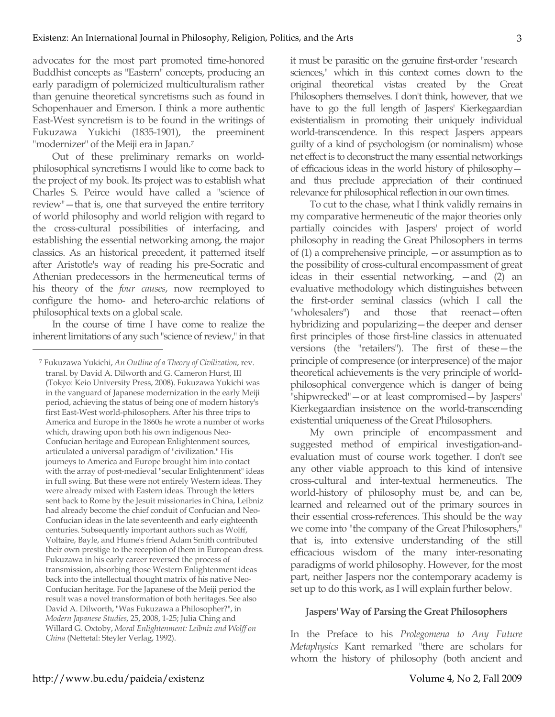advocates for the most part promoted time-honored Buddhist concepts as "Eastern" concepts, producing an early paradigm of polemicized multiculturalism rather than genuine theoretical syncretisms such as found in Schopenhauer and Emerson. I think a more authentic East-West syncretism is to be found in the writings of Fukuzawa Yukichi (1835-1901), the preeminent "modernizer" of the Meiji era in Japan.<sup>7</sup>

Out of these preliminary remarks on worldphilosophical syncretisms I would like to come back to the project of my book. Its project was to establish what Charles S. Peirce would have called a "science of review"—that is, one that surveyed the entire territory of world philosophy and world religion with regard to the cross-cultural possibilities of interfacing, and establishing the essential networking among, the major classics. As an historical precedent, it patterned itself after Aristotle's way of reading his pre-Socratic and Athenian predecessors in the hermeneutical terms of his theory of the *four causes*, now reemployed to configure the homo- and hetero-archic relations of philosophical texts on a global scale.

In the course of time I have come to realize the inherent limitations of any such "science of review," in that

 $\overline{a}$ 

it must be parasitic on the genuine first-order "research sciences," which in this context comes down to the original theoretical vistas created by the Great Philosophers themselves. I don't think, however, that we have to go the full length of Jaspers' Kierkegaardian existentialism in promoting their uniquely individual world-transcendence. In this respect Jaspers appears guilty of a kind of psychologism (or nominalism) whose net effect is to deconstruct the many essential networkings of efficacious ideas in the world history of philosophy and thus preclude appreciation of their continued relevance for philosophical reflection in our own times.

To cut to the chase, what I think validly remains in my comparative hermeneutic of the major theories only partially coincides with Jaspers' project of world philosophy in reading the Great Philosophers in terms of (1) a comprehensive principle, —or assumption as to the possibility of cross-cultural encompassment of great ideas in their essential networking, —and (2) an evaluative methodology which distinguishes between the first-order seminal classics (which I call the "wholesalers") and those that reenact—often hybridizing and popularizing—the deeper and denser first principles of those first-line classics in attenuated versions (the "retailers"). The first of these—the principle of compresence (or interpresence) of the major theoretical achievements is the very principle of worldphilosophical convergence which is danger of being "shipwrecked"—or at least compromised—by Jaspers' Kierkegaardian insistence on the world-transcending existential uniqueness of the Great Philosophers.

My own principle of encompassment and suggested method of empirical investigation-andevaluation must of course work together. I don't see any other viable approach to this kind of intensive cross-cultural and inter-textual hermeneutics. The world-history of philosophy must be, and can be, learned and relearned out of the primary sources in their essential cross-references. This should be the way we come into "the company of the Great Philosophers," that is, into extensive understanding of the still efficacious wisdom of the many inter-resonating paradigms of world philosophy. However, for the most part, neither Jaspers nor the contemporary academy is set up to do this work, as I will explain further below.

## **Jaspers' Way of Parsing the Great Philosophers**

In the Preface to his *Prolegomena to Any Future Metaphysics* Kant remarked "there are scholars for whom the history of philosophy (both ancient and

<sup>7</sup> Fukuzawa Yukichi, *An Outline of a Theory of Civilization*, rev. transl. by David A. Dilworth and G. Cameron Hurst, III (Tokyo: Keio University Press, 2008). Fukuzawa Yukichi was in the vanguard of Japanese modernization in the early Meiji period, achieving the status of being one of modern history's first East-West world-philosophers. After his three trips to America and Europe in the 1860s he wrote a number of works which, drawing upon both his own indigenous Neo-Confucian heritage and European Enlightenment sources, articulated a universal paradigm of "civilization." His journeys to America and Europe brought him into contact with the array of post-medieval "secular Enlightenment" ideas in full swing. But these were not entirely Western ideas. They were already mixed with Eastern ideas. Through the letters sent back to Rome by the Jesuit missionaries in China, Leibniz had already become the chief conduit of Confucian and Neo-Confucian ideas in the late seventeenth and early eighteenth centuries. Subsequently important authors such as Wolff, Voltaire, Bayle, and Hume's friend Adam Smith contributed their own prestige to the reception of them in European dress. Fukuzawa in his early career reversed the process of transmission, absorbing those Western Enlightenment ideas back into the intellectual thought matrix of his native Neo-Confucian heritage. For the Japanese of the Meiji period the result was a novel transformation of both heritages. See also David A. Dilworth, "Was Fukuzawa a Philosopher?", in *Modern Japanese Studies*, 25, 2008, 1-25; Julia Ching and Willard G. Oxtoby, *Moral Enlightenment: Leibniz and Wolff on China* (Nettetal: Steyler Verlag, 1992).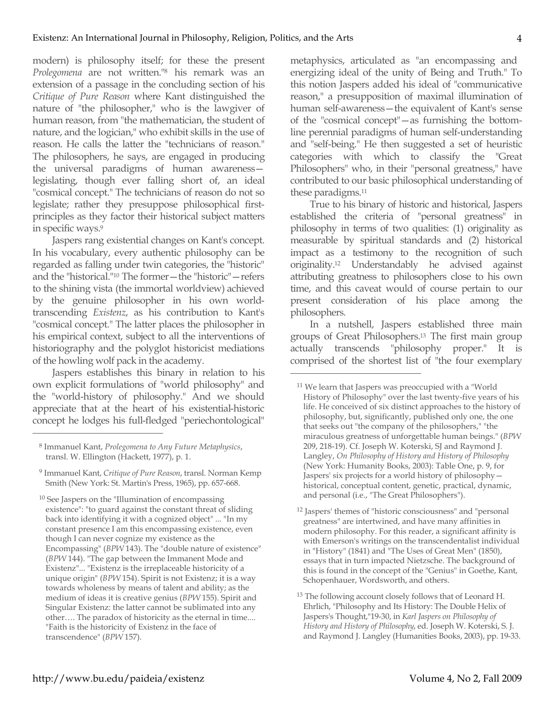modern) is philosophy itself; for these the present *Prolegomena* are not written."8 his remark was an extension of a passage in the concluding section of his *Critique of Pure Reason* where Kant distinguished the nature of "the philosopher," who is the lawgiver of human reason, from "the mathematician, the student of nature, and the logician," who exhibit skills in the use of reason. He calls the latter the "technicians of reason." The philosophers, he says, are engaged in producing the universal paradigms of human awareness legislating, though ever falling short of, an ideal "cosmical concept." The technicians of reason do not so legislate; rather they presuppose philosophical firstprinciples as they factor their historical subject matters in specific ways.9

Jaspers rang existential changes on Kant's concept. In his vocabulary, every authentic philosophy can be regarded as falling under twin categories, the "historic" and the "historical."10 The former—the "historic"—refers to the shining vista (the immortal worldview) achieved by the genuine philosopher in his own worldtranscending *Existenz*, as his contribution to Kant's "cosmical concept." The latter places the philosopher in his empirical context, subject to all the interventions of historiography and the polyglot historicist mediations of the howling wolf pack in the academy.

Jaspers establishes this binary in relation to his own explicit formulations of "world philosophy" and the "world-history of philosophy." And we should appreciate that at the heart of his existential-historic concept he lodges his full-fledged "periechontological"

 $\overline{a}$ 

10 See Jaspers on the "Illumination of encompassing existence": "to guard against the constant threat of sliding back into identifying it with a cognized object" ... "In my constant presence I am this encompassing existence, even though I can never cognize my existence as the Encompassing" (*BPW* 143). The "double nature of existence" (*BPW* 144). "The gap between the Immanent Mode and Existenz"... "Existenz is the irreplaceable historicity of a unique origin" (*BPW* 154). Spirit is not Existenz; it is a way towards wholeness by means of talent and ability; as the medium of ideas it is creative genius (*BPW* 155). Spirit and Singular Existenz: the latter cannot be sublimated into any other…. The paradox of historicity as the eternal in time.... "Faith is the historicity of Existenz in the face of transcendence" (*BPW* 157).

metaphysics, articulated as "an encompassing and energizing ideal of the unity of Being and Truth." To this notion Jaspers added his ideal of "communicative reason," a presupposition of maximal illumination of human self-awareness—the equivalent of Kant's sense of the "cosmical concept"—as furnishing the bottomline perennial paradigms of human self-understanding and "self-being." He then suggested a set of heuristic categories with which to classify the "Great Philosophers" who, in their "personal greatness," have contributed to our basic philosophical understanding of these paradigms. 11

True to his binary of historic and historical, Jaspers established the criteria of "personal greatness" in philosophy in terms of two qualities: (1) originality as measurable by spiritual standards and (2) historical impact as a testimony to the recognition of such originality.12 Understandably he advised against attributing greatness to philosophers close to his own time, and this caveat would of course pertain to our present consideration of his place among the philosophers.

In a nutshell, Jaspers established three main groups of Great Philosophers.13 The first main group actually transcends "philosophy proper." It is comprised of the shortest list of "the four exemplary

<sup>8</sup> Immanuel Kant, *Prolegomena to Any Future Metaphysics*, transl. W. Ellington (Hackett, 1977), p. 1.

<sup>9</sup> Immanuel Kant, *Critique of Pure Reason*, transl. Norman Kemp Smith (New York: St. Martin's Press, 1965), pp. 657-668.

<sup>&</sup>lt;sup>11</sup> We learn that Jaspers was preoccupied with a "World History of Philosophy" over the last twenty-five years of his life. He conceived of six distinct approaches to the history of philosophy, but, significantly, published only one, the one that seeks out "the company of the philosophers," "the miraculous greatness of unforgettable human beings." (*BPW* 209, 218-19). Cf. Joseph W. Koterski, SJ and Raymond J. Langley, *On Philosophy of History and History of Philosophy* (New York: Humanity Books, 2003): Table One, p. 9, for Jaspers' six projects for a world history of philosophy historical, conceptual content, genetic, practical, dynamic, and personal (i.e., "The Great Philosophers").

<sup>12</sup> Jaspers' themes of "historic consciousness" and "personal greatness" are intertwined, and have many affinities in modern philosophy. For this reader, a significant affinity is with Emerson's writings on the transcendentalist individual in "History" (1841) and "The Uses of Great Men" (1850), essays that in turn impacted Nietzsche. The background of this is found in the concept of the "Genius" in Goethe, Kant, Schopenhauer, Wordsworth, and others.

<sup>&</sup>lt;sup>13</sup> The following account closely follows that of Leonard H. Ehrlich, "Philosophy and Its History: The Double Helix of Jaspers's Thought,"19-30, in *Karl Jaspers on Philosophy of History and History of Philosophy*, ed. Joseph W. Koterski, S. J. and Raymond J. Langley (Humanities Books, 2003), pp. 19-33.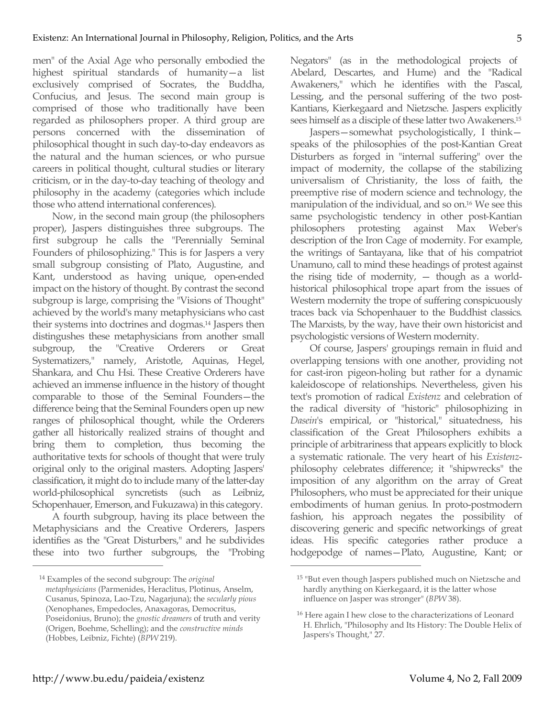men" of the Axial Age who personally embodied the highest spiritual standards of humanity—a list exclusively comprised of Socrates, the Buddha, Confucius, and Jesus. The second main group is comprised of those who traditionally have been regarded as philosophers proper. A third group are persons concerned with the dissemination of philosophical thought in such day-to-day endeavors as the natural and the human sciences, or who pursue careers in political thought, cultural studies or literary criticism, or in the day-to-day teaching of theology and philosophy in the academy (categories which include those who attend international conferences).

Now, in the second main group (the philosophers proper), Jaspers distinguishes three subgroups. The first subgroup he calls the "Perennially Seminal Founders of philosophizing." This is for Jaspers a very small subgroup consisting of Plato, Augustine, and Kant, understood as having unique, open-ended impact on the history of thought. By contrast the second subgroup is large, comprising the "Visions of Thought" achieved by the world's many metaphysicians who cast their systems into doctrines and dogmas.14 Jaspers then distingushes these metaphysicians from another small subgroup, the "Creative Orderers or Great Systematizers," namely, Aristotle, Aquinas, Hegel, Shankara, and Chu Hsi. These Creative Orderers have achieved an immense influence in the history of thought comparable to those of the Seminal Founders—the difference being that the Seminal Founders open up new ranges of philosophical thought, while the Orderers gather all historically realized strains of thought and bring them to completion, thus becoming the authoritative texts for schools of thought that were truly original only to the original masters. Adopting Jaspers' classification, it might do to include many of the latter-day world-philosophical syncretists (such as Leibniz, Schopenhauer, Emerson, and Fukuzawa) in this category.

A fourth subgroup, having its place between the Metaphysicians and the Creative Orderers, Jaspers identifies as the "Great Disturbers," and he subdivides these into two further subgroups, the "Probing Negators" (as in the methodological projects of Abelard, Descartes, and Hume) and the "Radical Awakeners," which he identifies with the Pascal, Lessing, and the personal suffering of the two post-Kantians, Kierkegaard and Nietzsche. Jaspers explicitly sees himself as a disciple of these latter two Awakeners.15

Jaspers—somewhat psychologistically, I think speaks of the philosophies of the post-Kantian Great Disturbers as forged in "internal suffering" over the impact of modernity, the collapse of the stabilizing universalism of Christianity, the loss of faith, the preemptive rise of modern science and technology, the manipulation of the individual, and so on.16 We see this same psychologistic tendency in other post-Kantian philosophers protesting against Max Weber's description of the Iron Cage of modernity. For example, the writings of Santayana, like that of his compatriot Unamuno, call to mind these headings of protest against the rising tide of modernity, — though as a worldhistorical philosophical trope apart from the issues of Western modernity the trope of suffering conspicuously traces back via Schopenhauer to the Buddhist classics. The Marxists, by the way, have their own historicist and psychologistic versions of Western modernity.

Of course, Jaspers' groupings remain in fluid and overlapping tensions with one another, providing not for cast-iron pigeon-holing but rather for a dynamic kaleidoscope of relationships. Nevertheless, given his text's promotion of radical *Existenz* and celebration of the radical diversity of "historic" philosophizing in *Dasein*'s empirical, or "historical," situatedness, his classification of the Great Philosophers exhibits a principle of arbitrariness that appears explicitly to block a systematic rationale. The very heart of his *Existenz*philosophy celebrates difference; it "shipwrecks" the imposition of any algorithm on the array of Great Philosophers, who must be appreciated for their unique embodiments of human genius. In proto-postmodern fashion, his approach negates the possibility of discovering generic and specific networkings of great ideas. His specific categories rather produce a hodgepodge of names—Plato, Augustine, Kant; or

 $\overline{a}$ 

<sup>14</sup> Examples of the second subgroup: The *original metaphysicians* (Parmenides, Heraclitus, Plotinus, Anselm, Cusanus, Spinoza, Lao-Tzu, Nagarjuna); the *secularly pious* (Xenophanes, Empedocles, Anaxagoras, Democritus, Poseidonius, Bruno); the *gnostic dreamers* of truth and verity (Origen, Boehme, Schelling); and the *constructive minds* (Hobbes, Leibniz, Fichte) (*BPW* 219).

<sup>&</sup>lt;sup>15</sup> "But even though Jaspers published much on Nietzsche and hardly anything on Kierkegaard, it is the latter whose influence on Jasper was stronger" (*BPW* 38).

<sup>&</sup>lt;sup>16</sup> Here again I hew close to the characterizations of Leonard H. Ehrlich, "Philosophy and Its History: The Double Helix of Jaspers's Thought," 27.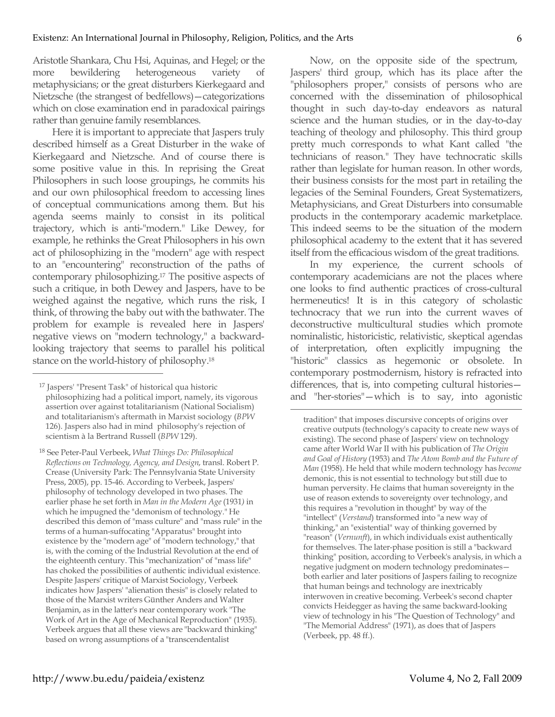Aristotle Shankara, Chu Hsi, Aquinas, and Hegel; or the more bewildering heterogeneous variety of metaphysicians; or the great disturbers Kierkegaard and Nietzsche (the strangest of bedfellows)—categorizations which on close examination end in paradoxical pairings rather than genuine family resemblances.

Here it is important to appreciate that Jaspers truly described himself as a Great Disturber in the wake of Kierkegaard and Nietzsche. And of course there is some positive value in this. In reprising the Great Philosophers in such loose groupings, he commits his and our own philosophical freedom to accessing lines of conceptual communications among them. But his agenda seems mainly to consist in its political trajectory, which is anti-"modern." Like Dewey, for example, he rethinks the Great Philosophers in his own act of philosophizing in the "modern" age with respect to an "encountering" reconstruction of the paths of contemporary philosophizing.17 The positive aspects of such a critique, in both Dewey and Jaspers, have to be weighed against the negative, which runs the risk, I think, of throwing the baby out with the bathwater. The problem for example is revealed here in Jaspers' negative views on "modern technology," a backwardlooking trajectory that seems to parallel his political stance on the world-history of philosophy.18

 $\overline{a}$ 

Now, on the opposite side of the spectrum, Jaspers' third group, which has its place after the "philosophers proper," consists of persons who are concerned with the dissemination of philosophical thought in such day-to-day endeavors as natural science and the human studies, or in the day-to-day teaching of theology and philosophy. This third group pretty much corresponds to what Kant called "the technicians of reason." They have technocratic skills rather than legislate for human reason. In other words, their business consists for the most part in retailing the legacies of the Seminal Founders, Great Systematizers, Metaphysicians, and Great Disturbers into consumable products in the contemporary academic marketplace. This indeed seems to be the situation of the modern philosophical academy to the extent that it has severed itself from the efficacious wisdom of the great traditions.

In my experience, the current schools of contemporary academicians are not the places where one looks to find authentic practices of cross-cultural hermeneutics! It is in this category of scholastic technocracy that we run into the current waves of deconstructive multicultural studies which promote nominalistic, historicistic, relativistic, skeptical agendas of interpretation, often explicitly impugning the "historic" classics as hegemonic or obsolete. In contemporary postmodernism, history is refracted into differences, that is, into competing cultural histories and "her-stories"—which is to say, into agonistic

 $\overline{a}$ 

tradition" that imposes discursive concepts of origins over creative outputs (technology's capacity to create new ways of existing). The second phase of Jaspers' view on technology came after World War II with his publication of *The Origin and Goal of History* (1953) and *The Atom Bomb and the Future of Man* (1958). He held that while modern technology has *become*  demonic, this is not essential to technology but still due to human perversity. He claims that human sovereignty in the use of reason extends to sovereignty over technology, and this requires a "revolution in thought" by way of the "intellect" (*Verstand*) transformed into "a new way of thinking," an "existential" way of thinking governed by "reason" (*Vernunft*), in which individuals exist authentically for themselves. The later-phase position is still a "backward thinking" position, according to Verbeek's analysis, in which a negative judgment on modern technology predominates both earlier and later positions of Jaspers failing to recognize that human beings and technology are inextricably interwoven in creative becoming. Verbeek's second chapter convicts Heidegger as having the same backward-looking view of technology in his "The Question of Technology" and "The Memorial Address" (1971), as does that of Jaspers (Verbeek, pp. 48 ff.).

<sup>17</sup> Jaspers' "Present Task" of historical qua historic philosophizing had a political import, namely, its vigorous assertion over against totalitarianism (National Socialism) and totalitarianism's aftermath in Marxist sociology (*BPW* 126). Jaspers also had in mind philosophy's rejection of scientism à la Bertrand Russell (*BPW* 129).

<sup>18</sup> See Peter-Paul Verbeek, *What Things Do: Philosophical Reflections on Technology, Agency, and Design*, transl. Robert P. Crease (University Park: The Pennsylvania State University Press, 2005), pp. 15-46. According to Verbeek, Jaspers' philosophy of technology developed in two phases. The earlier phase he set forth in *Man in the Modern Age* (1931*)* in which he impugned the "demonism of technology." He described this demon of "mass culture" and "mass rule" in the terms of a human-suffocating "Apparatus" brought into existence by the "modern age" of "modern technology," that is, with the coming of the Industrial Revolution at the end of the eighteenth century. This "mechanization" of "mass life" has choked the possibilities of authentic individual existence. Despite Jaspers' critique of Marxist Sociology, Verbeek indicates how Jaspers' "alienation thesis" is closely related to those of the Marxist writers Günther Anders and Walter Benjamin, as in the latter's near contemporary work "The Work of Art in the Age of Mechanical Reproduction" (1935). Verbeek argues that all these views are "backward thinking" based on wrong assumptions of a "transcendentalist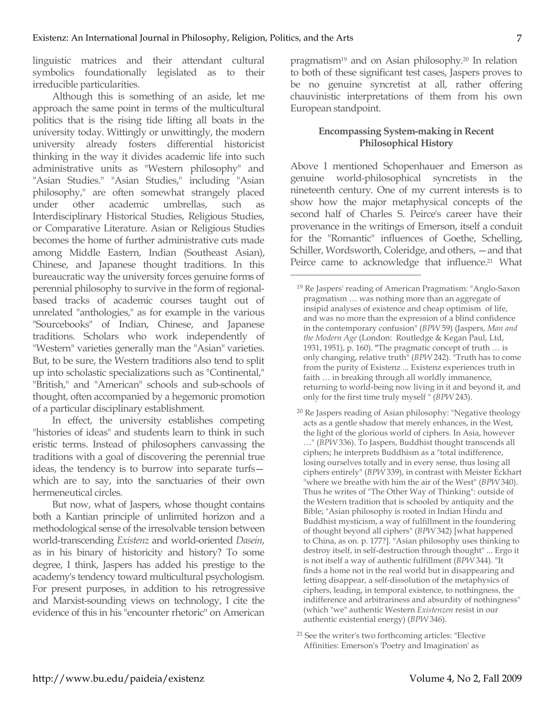linguistic matrices and their attendant cultural symbolics foundationally legislated as to their irreducible particularities.

Although this is something of an aside, let me approach the same point in terms of the multicultural politics that is the rising tide lifting all boats in the university today. Wittingly or unwittingly, the modern university already fosters differential historicist thinking in the way it divides academic life into such administrative units as "Western philosophy" and "Asian Studies." "Asian Studies," including "Asian philosophy," are often somewhat strangely placed under other academic umbrellas, such as Interdisciplinary Historical Studies, Religious Studies, or Comparative Literature. Asian or Religious Studies becomes the home of further administrative cuts made among Middle Eastern, Indian (Southeast Asian), Chinese, and Japanese thought traditions. In this bureaucratic way the university forces genuine forms of perennial philosophy to survive in the form of regionalbased tracks of academic courses taught out of unrelated "anthologies," as for example in the various "Sourcebooks" of Indian, Chinese, and Japanese traditions. Scholars who work independently of "Western" varieties generally man the "Asian" varieties. But, to be sure, the Western traditions also tend to split up into scholastic specializations such as "Continental," "British," and "American" schools and sub-schools of thought, often accompanied by a hegemonic promotion of a particular disciplinary establishment.

In effect, the university establishes competing "histories of ideas" and students learn to think in such eristic terms. Instead of philosophers canvassing the traditions with a goal of discovering the perennial true ideas, the tendency is to burrow into separate turfs which are to say, into the sanctuaries of their own hermeneutical circles.

But now, what of Jaspers, whose thought contains both a Kantian principle of unlimited horizon and a methodological sense of the irresolvable tension between world-transcending *Existenz* and world-oriented *Dasein*, as in his binary of historicity and history? To some degree, I think, Jaspers has added his prestige to the academy's tendency toward multicultural psychologism. For present purposes, in addition to his retrogressive and Marxist-sounding views on technology, I cite the evidence of this in his "encounter rhetoric" on American

pragmatism19 and on Asian philosophy. <sup>20</sup> In relation to both of these significant test cases, Jaspers proves to be no genuine syncretist at all, rather offering chauvinistic interpretations of them from his own European standpoint.

## **Encompassing System-making in Recent Philosophical History**

Above I mentioned Schopenhauer and Emerson as genuine world-philosophical syncretists in the nineteenth century. One of my current interests is to show how the major metaphysical concepts of the second half of Charles S. Peirce's career have their provenance in the writings of Emerson, itself a conduit for the "Romantic" influences of Goethe, Schelling, Schiller, Wordsworth, Coleridge, and others, —and that Peirce came to acknowledge that influence.<sup>21</sup> What

- <sup>20</sup> Re Jaspers reading of Asian philosophy: "Negative theology acts as a gentle shadow that merely enhances, in the West, the light of the glorious world of ciphers. In Asia, however …" (*BPW* 336). To Jaspers, Buddhist thought transcends all ciphers; he interprets Buddhism as a "total indifference, losing ourselves totally and in every sense, thus losing all ciphers entirely" (*BPW* 339), in contrast with Meister Eckhart "where we breathe with him the air of the West" (*BPW* 340). Thus he writes of "The Other Way of Thinking": outside of the Western tradition that is schooled by antiquity and the Bible; "Asian philosophy is rooted in Indian Hindu and Buddhist mysticism, a way of fulfillment in the foundering of thought beyond all ciphers" (*BPW* 342) [what happened to China, as on. p. 177?]. "Asian philosophy uses thinking to destroy itself, in self-destruction through thought" ... Ergo it is not itself a way of authentic fulfillment (*BPW* 344). "It finds a home not in the real world but in disappearing and letting disappear, a self-dissolution of the metaphysics of ciphers, leading, in temporal existence, to nothingness, the indifference and arbitrariness and absurdity of nothingness" (which "we" authentic Western *Existenzen* resist in our authentic existential energy) (*BPW* 346).
- <sup>21</sup> See the writer's two forthcoming articles: "Elective Affinities: Emerson's 'Poetry and Imagination' as

<sup>19</sup> Re Jaspers' reading of American Pragmatism: "Anglo-Saxon pragmatism … was nothing more than an aggregate of insipid analyses of existence and cheap optimism of life, and was no more than the expression of a blind confidence in the contemporary confusion" (*BPW* 59) (Jaspers, *Man and the Modern Age* (London: Routledge & Kegan Paul, Ltd, 1931, 1951), p. 160). **"**The pragmatic concept of truth … is only changing, relative truth" (*BPW* 242). "Truth has to come from the purity of Existenz ... Existenz experiences truth in faith … in breaking through all worldly immanence, returning to world-being now living in it and beyond it, and only for the first time truly myself " (*BPW* 243).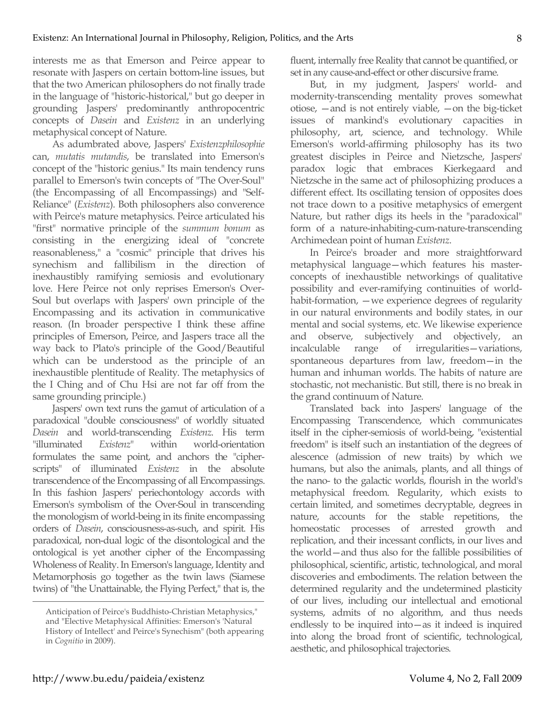interests me as that Emerson and Peirce appear to resonate with Jaspers on certain bottom-line issues, but that the two American philosophers do not finally trade in the language of "historic-historical," but go deeper in grounding Jaspers' predominantly anthropocentric concepts of *Dasein* and *Existenz* in an underlying metaphysical concept of Nature.

As adumbrated above, Jaspers' *Existenzphilosophie*  can, *mutatis mutandis*, be translated into Emerson's concept of the "historic genius." Its main tendency runs parallel to Emerson's twin concepts of "The Over-Soul" (the Encompassing of all Encompassings) and "Self-Reliance" (*Existenz*). Both philosophers also converence with Peirce's mature metaphysics. Peirce articulated his "first" normative principle of the *summum bonum* as consisting in the energizing ideal of "concrete reasonableness," a "cosmic" principle that drives his synechism and fallibilism in the direction of inexhaustibly ramifying semiosis and evolutionary love. Here Peirce not only reprises Emerson's Over-Soul but overlaps with Jaspers' own principle of the Encompassing and its activation in communicative reason. (In broader perspective I think these affine principles of Emerson, Peirce, and Jaspers trace all the way back to Plato's principle of the Good/Beautiful which can be understood as the principle of an inexhaustible plentitude of Reality. The metaphysics of the I Ching and of Chu Hsi are not far off from the same grounding principle.)

Jaspers' own text runs the gamut of articulation of a paradoxical "double consciousness" of worldly situated *Dasein* and world-transcending *Existenz*. His term "illuminated *Existenz*" within world-orientation formulates the same point, and anchors the "cipherscripts" of illuminated *Existenz* in the absolute transcendence of the Encompassing of all Encompassings. In this fashion Jaspers' periechontology accords with Emerson's symbolism of the Over-Soul in transcending the monologism of world-being in its finite encompassing orders of *Dasein*, consciousness-as-such, and spirit. His paradoxical, non-dual logic of the disontological and the ontological is yet another cipher of the Encompassing Wholeness of Reality.In Emerson's language, Identity and Metamorphosis go together as the twin laws (Siamese twins) of "the Unattainable, the Flying Perfect," that is, the fluent, internally free Reality that cannot be quantified, or set in any cause-and-effect or other discursive frame.

But, in my judgment, Jaspers' world- and modernity-transcending mentality proves somewhat otiose, —and is not entirely viable, —on the big-ticket issues of mankind's evolutionary capacities in philosophy, art, science, and technology. While Emerson's world-affirming philosophy has its two greatest disciples in Peirce and Nietzsche, Jaspers' paradox logic that embraces Kierkegaard and Nietzsche in the same act of philosophizing produces a different effect. Its oscillating tension of opposites does not trace down to a positive metaphysics of emergent Nature, but rather digs its heels in the "paradoxical" form of a nature-inhabiting-cum-nature-transcending Archimedean point of human *Existenz*.

In Peirce's broader and more straightforward metaphysical language—which features his masterconcepts of inexhaustible networkings of qualitative possibility and ever-ramifying continuities of worldhabit-formation, —we experience degrees of regularity in our natural environments and bodily states, in our mental and social systems, etc. We likewise experience and observe, subjectively and objectively, an incalculable range of irregularities—variations, spontaneous departures from law, freedom—in the human and inhuman worlds. The habits of nature are stochastic, not mechanistic. But still, there is no break in the grand continuum of Nature.

Translated back into Jaspers' language of the Encompassing Transcendence, which communicates itself in the cipher-semiosis of world-being, "existential freedom" is itself such an instantiation of the degrees of alescence (admission of new traits) by which we humans, but also the animals, plants, and all things of the nano- to the galactic worlds, flourish in the world's metaphysical freedom. Regularity, which exists to certain limited, and sometimes decryptable, degrees in nature, accounts for the stable repetitions, the homeostatic processes of arrested growth and replication, and their incessant conflicts, in our lives and the world—and thus also for the fallible possibilities of philosophical, scientific, artistic, technological, and moral discoveries and embodiments. The relation between the determined regularity and the undetermined plasticity of our lives, including our intellectual and emotional systems, admits of no algorithm, and thus needs endlessly to be inquired into—as it indeed is inquired into along the broad front of scientific, technological, aesthetic, and philosophical trajectories.

Anticipation of Peirce's Buddhisto-Christian Metaphysics," and "Elective Metaphysical Affinities: Emerson's 'Natural History of Intellect' and Peirce's Synechism" (both appearing in *Cognitio* in 2009).